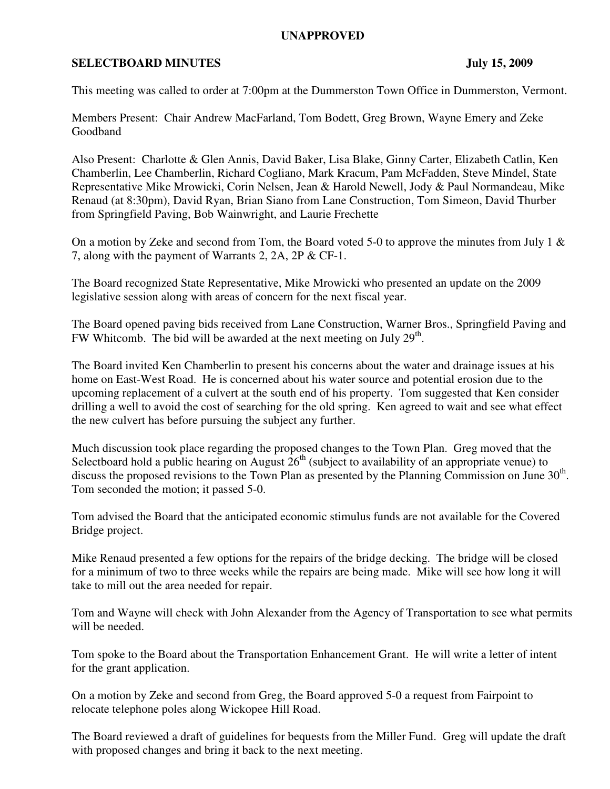## **UNAPPROVED**

## **SELECTBOARD MINUTES** July 15, 2009

This meeting was called to order at 7:00pm at the Dummerston Town Office in Dummerston, Vermont.

Members Present: Chair Andrew MacFarland, Tom Bodett, Greg Brown, Wayne Emery and Zeke Goodband

Also Present: Charlotte & Glen Annis, David Baker, Lisa Blake, Ginny Carter, Elizabeth Catlin, Ken Chamberlin, Lee Chamberlin, Richard Cogliano, Mark Kracum, Pam McFadden, Steve Mindel, State Representative Mike Mrowicki, Corin Nelsen, Jean & Harold Newell, Jody & Paul Normandeau, Mike Renaud (at 8:30pm), David Ryan, Brian Siano from Lane Construction, Tom Simeon, David Thurber from Springfield Paving, Bob Wainwright, and Laurie Frechette

On a motion by Zeke and second from Tom, the Board voted 5-0 to approve the minutes from July 1  $\&$ 7, along with the payment of Warrants 2, 2A, 2P & CF-1.

The Board recognized State Representative, Mike Mrowicki who presented an update on the 2009 legislative session along with areas of concern for the next fiscal year.

The Board opened paving bids received from Lane Construction, Warner Bros., Springfield Paving and FW Whitcomb. The bid will be awarded at the next meeting on July  $29<sup>th</sup>$ .

The Board invited Ken Chamberlin to present his concerns about the water and drainage issues at his home on East-West Road. He is concerned about his water source and potential erosion due to the upcoming replacement of a culvert at the south end of his property. Tom suggested that Ken consider drilling a well to avoid the cost of searching for the old spring. Ken agreed to wait and see what effect the new culvert has before pursuing the subject any further.

Much discussion took place regarding the proposed changes to the Town Plan. Greg moved that the Selectboard hold a public hearing on August  $26<sup>th</sup>$  (subject to availability of an appropriate venue) to discuss the proposed revisions to the Town Plan as presented by the Planning Commission on June  $30<sup>th</sup>$ . Tom seconded the motion; it passed 5-0.

Tom advised the Board that the anticipated economic stimulus funds are not available for the Covered Bridge project.

Mike Renaud presented a few options for the repairs of the bridge decking. The bridge will be closed for a minimum of two to three weeks while the repairs are being made. Mike will see how long it will take to mill out the area needed for repair.

Tom and Wayne will check with John Alexander from the Agency of Transportation to see what permits will be needed.

Tom spoke to the Board about the Transportation Enhancement Grant. He will write a letter of intent for the grant application.

On a motion by Zeke and second from Greg, the Board approved 5-0 a request from Fairpoint to relocate telephone poles along Wickopee Hill Road.

The Board reviewed a draft of guidelines for bequests from the Miller Fund. Greg will update the draft with proposed changes and bring it back to the next meeting.